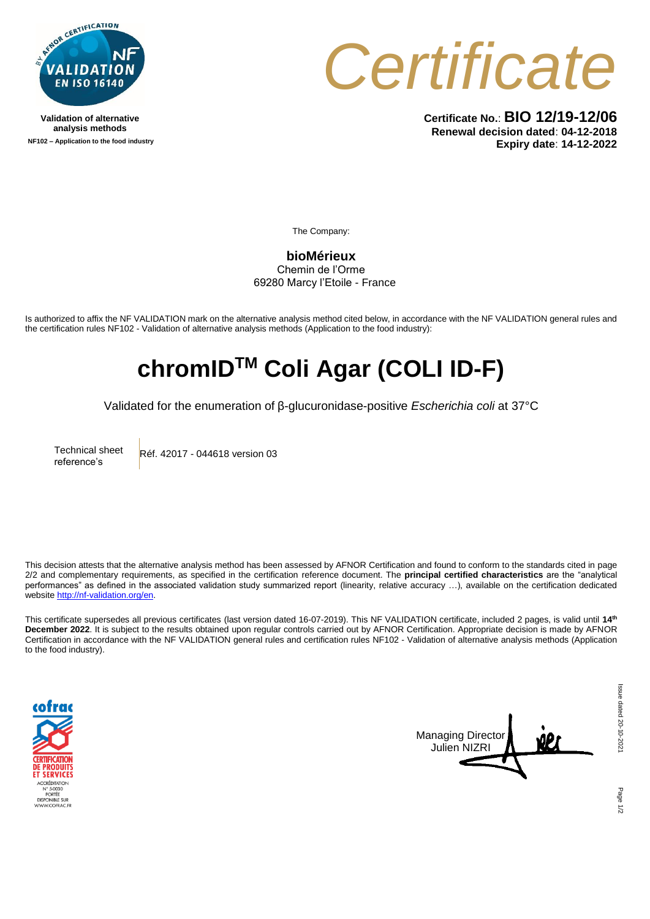

**Validation of alternative analysis methods NF102 – Application to the food industry** *Certificate*

**Certificate No.**: **BIO 12/19-12/06 Renewal decision dated**: **04-12-2018 Expiry date**: **14-12-2022**

The Company:

**bioMérieux** Chemin de l'Orme 69280 Marcy l'Etoile - France

Is authorized to affix the NF VALIDATION mark on the alternative analysis method cited below, in accordance with the NF VALIDATION general rules and the certification rules NF102 - Validation of alternative analysis methods (Application to the food industry):

## **chromIDTM Coli Agar (COLI ID-F)**

Validated for the enumeration of β-glucuronidase-positive *Escherichia coli* at 37°C

Technical sheet reference's Réf. 42017 - 044618 version 03

This decision attests that the alternative analysis method has been assessed by AFNOR Certification and found to conform to the standards cited in page 2/2 and complementary requirements, as specified in the certification reference document. The **principal certified characteristics** are the "analytical performances" as defined in the associated validation study summarized report (linearity, relative accuracy …), available on the certification dedicated websit[e http://nf-validation.org/en.](http://nf-validation.org/en)

This certificate supersedes all previous certificates (last version dated 16-07-2019). This NF VALIDATION certificate, included 2 pages, is valid until **14 th December 2022**. It is subject to the results obtained upon regular controls carried out by AFNOR Certification. Appropriate decision is made by AFNOR Certification in accordance with the NF VALIDATION general rules and certification rules NF102 - Validation of alternative analysis methods (Application to the food industry).





Page